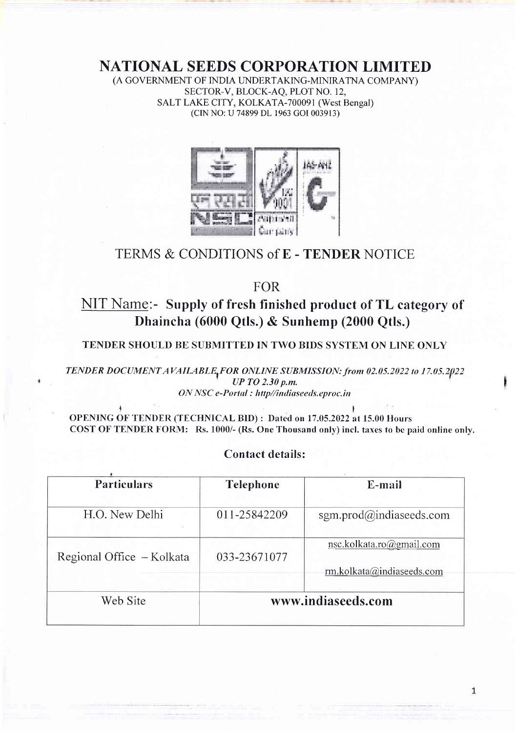# NATIONAL SEEDS CORPORATION LIMITED

(A GOVERNMENT OF INDIA UNDERTAKING-MINIRATNA COMPANY) SECTOR-V, BLOCK-AQ, PLOT NO. 12, SALT LAKE CITY, KOLKATA-700091 (West Bengal) (CINNO:U 74899 DL 1963 GOI003913)



# TERMS & CONDITIONS of E - TENDER NOTICE

FOR

# NIT Name:- Supply of fresh finished product of TL category of Dhaincha (6000 Qtls.) & Sunhemp (2000 Qtls.)

TENDER SHOULD BE SUBMITTED IN TWO BIDS SYSTEM ON LINE ONLY

TENDER DOCUMENT AVAILABLE<sub>t</sub>FOR ONLINE SUBMISSION: from 02.05.2022 to 17.05.2022  $UP$  TO 2.30 p.m. ON NSC e-Portal : http//indiaseeds.eproc.in

 $\ddot{\mathbf{f}}$ OPENING OF TENDER (TECFINICAL BID) : Dated on 17.05.2022 at 15.00 Hours COST OF TENDER FORM: Rs. 1000/- (Rs. One Thousand only) incl. taxes to bc paid online only.

# Contact details:

| <b>Particulars</b>        | <b>Telephone</b>   | E-mail                                                |  |
|---------------------------|--------------------|-------------------------------------------------------|--|
| H.O. New Delhi            | 011-25842209       | sgm.prod $\omega$ indiaseeds.com                      |  |
| Regional Office - Kolkata | 033-23671077       | nsc.kolkata.ro@gmail.com<br>rm.kolkata@indiaseeds.com |  |
| Web Site                  | www.indiaseeds.com |                                                       |  |

 $\mathbf 1$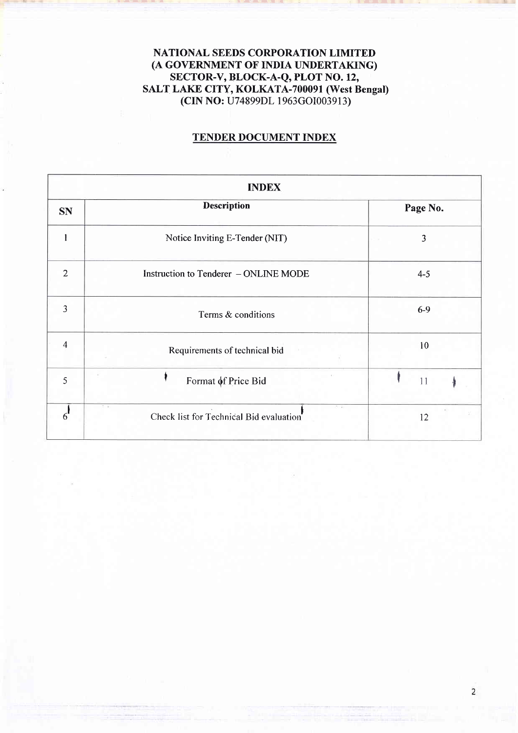# NATIONAL SEEDS CORPORATION LIMITED (A GOVERNMENT OF INDIA UNDERTAKING) SECTOR-V, BLOCK-A-Q, PLOT NO. 12, SALT LAKE CITY, KOLKATA-700091 (West Bengal) (CIN NO: U74899DL 1963cOI003913)

ldred and the interest of the interest of the interest of the interest of the interest of the interest of the

# TENDER DOCUMENT INDEX

| <b>INDEX</b>   |                                                         |          |  |  |  |  |
|----------------|---------------------------------------------------------|----------|--|--|--|--|
| <b>SN</b>      | <b>Description</b>                                      | Page No. |  |  |  |  |
|                | Notice Inviting E-Tender (NIT)                          | 3        |  |  |  |  |
| $\overline{2}$ | Instruction to Tenderer - ONLINE MODE                   | $4 - 5$  |  |  |  |  |
| 3              | Terms & conditions                                      | $6-9$    |  |  |  |  |
| $\overline{4}$ | Requirements of technical bid                           | 10       |  |  |  |  |
| 5              | Format of Price Bid                                     | 11       |  |  |  |  |
| h              | 2012<br>5.27<br>Check list for Technical Bid evaluation | 12       |  |  |  |  |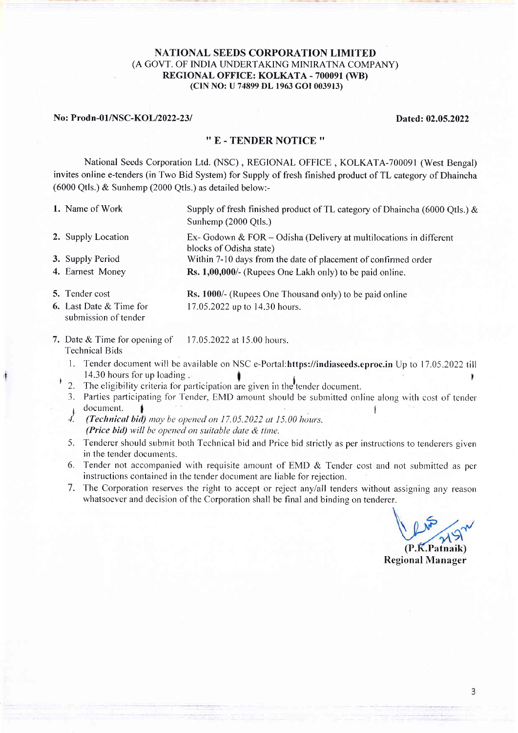#### NATIONAL SEEDS CORPORATION LIMITED (A GOVT. OF INDIA LINDERTAKING MINIRATNA COMPANY) REGIONAL OFFICE: KOLKATA - 700091 (WB) (ClN NO: U 74899 DL 1963 cOI 003913)

#### No: Prodn-01/NSC-KOL/2022-23/ Dated: 02.05.2022

#### '' E - TENDER NOTICE ''

National Seeds Corporation Ltd. (NSC) , REGIONAL OFFICE , KOLKATA-700091 (West Bengal) invites online e-tenders (in Two Bid System) for Supply of fresh finished product of TL category of Dhaincha (6000 Qtls.) & Sunhemp (2000 Qtls.) as detailed below:-

- 1. Name of Work 2. Supply Location Supply of fresh finished product of TL category of Dhaincha (6000 Otls.)  $\&$ Sunhemp (2000 Qtls.) Ex- Godown & FOR – Odisha (Delivery at multilocations in different
- blocks of Odisha state) Within 7-10 days from the date of placement of confinned order 3. Supply Period
- Rs. 1,00,000/- (Rupees One Lakh only) to be paid online. 4. Earnest Money
- **5.** Tender cost
- 6. Last Date & Time for submission of tender

Rs. 1000/- (Rupees One Thousand only) to be paid online 17.05.2022 up to 14.30 hours.

- 7. Date & Time for opening of 11.05.2022 at 15.00 hours. Technical Bids
	- 1. Tender document will be available on NSC e-Portal: https://indiaseeds.eproc.in Up to 17.05.2022 till 14.30 hours for up loading , 14.30 hours for up loadirrg I i <sup>I</sup>
	- 2. The eligibility criteria for participation are given in the tender document.
		- 3. Parties participating for Tender, EMD amount should be submitted online along with cost of tender  $1$  document.
		- $4.$  (Technical bid) may be opened on 17.05.2022 at 15.00 hours. (Price bid) will be opened on suitable date  $&$  time.
		- 5. Tenderer should submit both Technical bid and Price bid strictly as per instructions to tenderers given in the tender documents.
	- 6. Tender not accompanied with requisite amount of EMD  $&$  Tender cost and not submitted as per instructions contained in the tender docurnent are liable for rejection.
	- 7. The Corporation reserves the right to accept or reject any/all tenders without assigning any reason whatsoever and decision of the Corporation shall be final and binding on tenderer.

 $(P.K.Patnaik)$ 

Regional Manager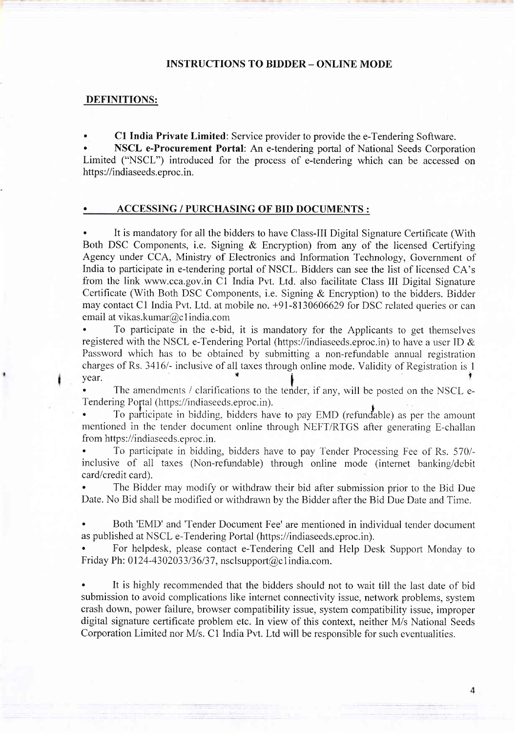#### INSTRUCTIONS TO BIDDER - ONLINE MODE

#### DEFINITIONS:

. Cl India Private Limited: Service provider to provide the e-Tendering Software.

. NSCL e-Procurement Portal: An e-tendering portal of National Seeds Corporation Limited ("NSCL") introduced for the process of e-tendering which can be accessed on https://indiaseeds.eproc.in.

#### . ACCESSING / PURCHASING OF BID DOCUMENTS :

. It is mandatory for all the bidders to have Class-III Digital Signature Certificate (With Both DSC Components, i.e. Signing & Encryption) from any of the licensed Certifying Agency under CCA, Ministry of Electronics and Information Technology, Government of India to participate in e-tendering portal of NSCL. Bidders can see the list of licensed CA's from the link www.cca.gov.in C1 India Pvt. Ltd. also facilitate Class III Digital Signature Certificate (With Both DSC Components, i.e. Signing & Encryption) to the bidders. Bidder may contact Cl India Pvt. Ltd. at mobile no. +91-8130606629 for DSC related queries or can email at vikas.kumar@c 1 india.com

. To participate in the e-bid, it is mandatory for the Applicants to get themselves registered with the NSCL e-Tendering Portal (https://indiaseeds.eproc.in) to have a user ID  $\&$ Password which has to be obtained by submitting a non-refundable annual registration charges of Rs. 3416/- inclusive of all taxes through online mode. Validity of Registration is 1 The constitution is  $\frac{1}{2}$ . The constitution is the constant of the constant of the constant of the constant of the constant of the constant of the constant of the constant of the constant of the constant of the consta

The amendments / clarifications to the tender, if any, will be posted on the NSCL e-Tendering Portal (https://indiaseeds.eproc.in).<br>
• Constitution To participate in bidding, bidders have to pay EMD (refundable) as per the amount

mentioned in the tender document online through NEFT/RTGS after generating E-challan from https://indiaseeds.eproc.in.

. To participate in bidding, bidders have to pay Tender Processing Fee of Rs. 570/ inclusive of all taxes (Non-refundable) through online mode (internet banking/debit card/credit card).

The Bidder may modify or withdraw their bid after submission prior to the Bid Due Date. No Bid shall be modified or withdrawn by the Bidder after the Bid Due Date and Time.

. Both'EMD' and'Tender Document Fee' are mentioned in individual tender document as published at NSCL e-Tendering Portal (https ://indiaseeds.eproc.in).

. For helpdesk, please contact e-Tendering Cell and Help Desk Support Monday to Friday Ph:  $0124 - 4302033/36/37$ , nscl support $@c1$  india.com.

. It is highly recommended that the bidders should not to wait till the last date of bid submission to avoid complications like internet connectivity issue, network problems, system crash down, power failure, browser compatibility issue, system compatibility issue, improper digital signature certificate problem etc. In view of this context, neither M/s National Seeds Corporation Limited nor M/s. C1 India Pv1. Ltd will be responsible for such eventualities.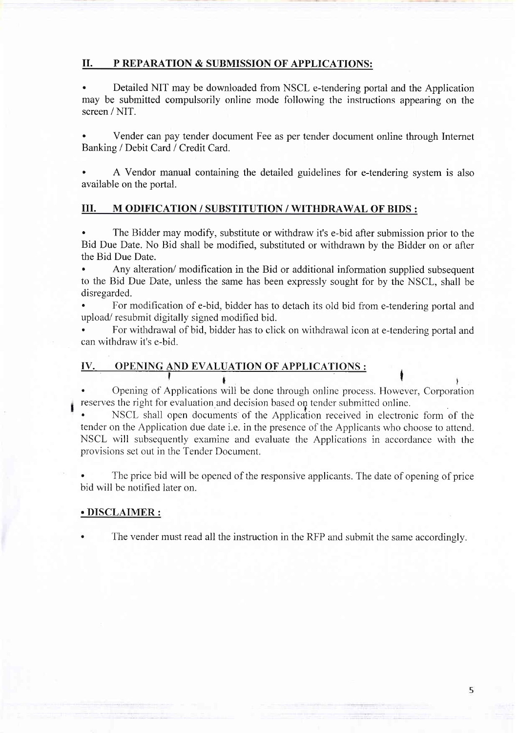## il. P REPARATION & SUBMISSION OF APPLICATIONS:

. Detailed NIT may be downloaded from NSCL e-tendering portal and the Application may be submitted compulsorily online mode following the instructions appearing on the screen / NIT.

. Vender can pay tender document Fee as per tender document online through Internet Banking / Debit Card / Credit Card.

A Vendor manual containing the detailed guidelines for e-tendering system is also available on the portal.

#### III. M ODIFICATION / SUBSTITUTION / WITHDRAWAL OF BIDS :

. The Bidder may modify, substitute or withdraw it's e-bid after submission prior to the Bid Due Date. No Bid shall be modified, substituted or withdrawn by the Bidder on or after the Bid Due Date.

. Any alteration/ modification in the Bid or additional information supplied subsequent to the Bid Due Date, unless the same has been expressly sought for by the NSCL, shall be disregarded.

. For modification of e-bid, bidder has to detach its old bid from e-tendering portal and upload/ resubmit digitally signed modified bid.

. For withdrawal of bid, bidder has to click on withdrawal icon at e-tendering portal and can withdraw it's e-bid.

# IV. OPENING AND EVALUATION OF APPLICATIONS :

 $\mathfrak{h}$ . Opening of Applications will be done through online process. However, Corporation reserves the right for evaluation and decision based on tender submitted online.

NSCL shall open documents of the Application received in electronic form of the tender on the Application due date i.e. in the presence of the Applicants who choose to attend. NSCL will subsequently examine and evaluate the Applications in accordance with the provisions set out in the Tender Document.

. The price bid will be opened of the responsive applicants. The date of opening of price bid will be notified later on.

#### . DISCLAIMER :

The vender must read all the instruction in the RFP and submit the same accordingly.

5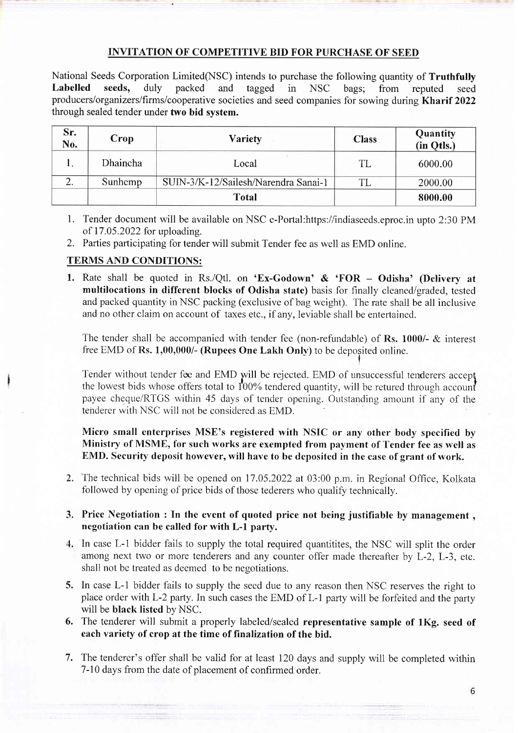# INVITATION OF COMPETITIVE BID FOR PURCHASE OF SEED

National Seeds Corporation Limited(NSC) intends to purchase the following quantity of **Truthfully**<br> **Labelled** seeds, duly packed and tagged in NSC bags: from reputed seed Labelled seeds, duly packed and tagged in NSC bags; from reputed seed producers/organizers/firms/cooperative societies and seed companies for sowing during Kharif 2022 through sealed tender under two bid system.

| Sr.<br>No. | Crop     | <b>Variety</b>                       | <b>Class</b> | Quantity<br>(in Qtls.) |
|------------|----------|--------------------------------------|--------------|------------------------|
| 1ν         | Dhaincha | Local                                | <b>TL</b>    | 6000.00                |
| <u>، ،</u> | Sunhemp  | SUIN-3/K-12/Sailesh/Narendra Sanai-1 | ጠ            | 2000.00                |
|            |          | <b>Total</b>                         |              | 8000.00                |

- 1. Tender document will be available on NSC e-Portal:https://indiaseeds.eproc.in upto 2:30 PM of 17.05.2022 for uploading.
- 2. Parties participating for tender will submit Tender fee as well as EMD online.

#### TERMS AND CONDITIONS:

1. Rate shall be quoted in Rs./Qtl. on 'Ex-Godown' & 'FOR - Odisha' (Delivery at multilocations in different blocks of Odisha state) basis for finally cleaned/graded, tested and packed quantity in NSC packing (exclusive of bag weight). The rate shall be all inclusive and no other claim on account of taxes etc., if any, leviable shall be entertained.

The tender shall be accompanied with tender fee (non-refundable) of Rs. 1000/- & interest free EMD of Rs. 1,00,000/- (Rupees One Lakh Only) to be deposited online.

Tender without tender fee and EMD will be rejected. EMD of unsuccessful tenderers accept the lowest bids whose offers total to  $100\%$  tendered quantity, will be retured through account payee cheque/RTGS within 45 days of tender opening. Outstanding amount if any of the tenderer with NSC will not be considered as EMD.

## Micro small enterprises MSE's registered with NSIC or any other body specified by Ministry of MSME, for such works are exempted from payment of Tender fee as well as EMD. Security deposit however, will have to be deposited in the case of grant of work.

2. The technical bids will be opened on 17.05.2022 at 03:00 p.m. in Regional Office, Kolkata followed by opening of price bids of those tederers who qualify technically.

## 3. Price Negotiation : In the event of quoted price not being justifiable by management, negotiation can be called for with L-l party.

- In case L-1 bidder fails to supply the total required quantitites, the NSC will split the order among next two or more tenderers and any counter offer made thereafter by L-2, L-3, etc. shall not be treated as deemed to be negotiations.
- 5. In case L-1 bidder fails to supply the seed due to any reason then NSC reserves the right to place order with L-2 party. In such cases the EMD of L-1 party will be forfeited and the party will be black listed by NSC.
- 6. The tenderer will submit a properly labeled/sealed representative sample of 1Kg. seed of each variety of crop at the time of finalization of the bid.
- 7. The tenderer's offer shall be valid for at least 120 days and supply will be completed within 7-10 days from the date of placement of confirmed order.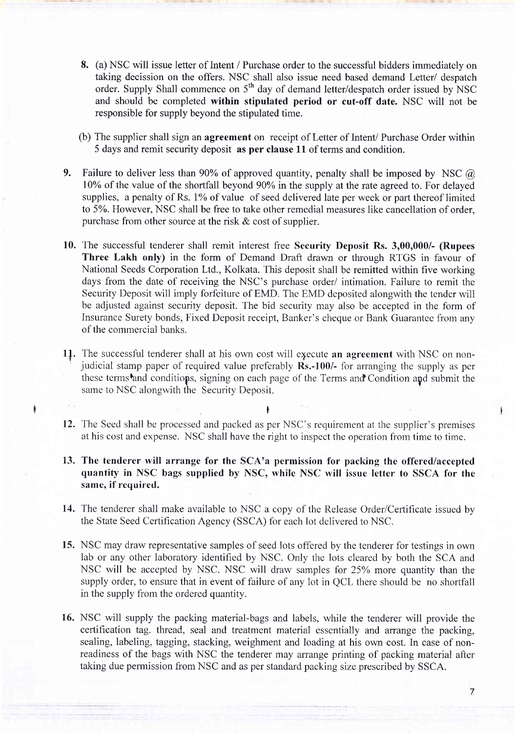- 8. (a) NSC will issue letter of Intent / Purchase order to the successful bidders immediately on taking decission on the offers. NSC shall also issue need based demand Letter/ despatch order. Supply Shall commence on 5<sup>th</sup> day of demand letter/despatch order issued by NSC and should be completed within stipulated period or cut-off date. NSC will not be responsible for supply beyond the stipulated time.
- (b) The supplier shall sign an agreement on receipt of Letter of Intent/ Purchase Order within 5 days and remit security deposit as per clause 11 of terms and condition.
- 9. Failure to deliver less than 90% of approved quantity, penalty shall be imposed by NSC  $\omega$ l0% of the value of the shortfall beyond 90Yo in the supply at the rate agreed to. For delayed supplies, a penalty of Rs. 1% of value of seed delivered late per week or part thereof limited to 5Yo. However, NSC shall be free to take other remedial measures like cancellation of order, purchase from other source at the risk  $& \text{cost}$  of supplier.
- 10. The successful tenderer shall remit interest free Security Deposit Rs. 3,00,000/- (Rupees Three Lakh only) in the form of Demand Draft drawn or through RTGS in favour of National Seeds Corporation Ltd., Kolkata. This deposit shall be remitted within five working days from the date of receiving the NSC's purchase order/ intimation. Failure to remit the Security Deposit will imply forfeiture of EMD. The EMD deposited alongwith the tender will be adjusted against security deposit. The bid security may also be accepted in the form of Insurance Surety bonds, Fixed Deposit receipt, Banker's cheque or Bank Guarantee from any of the commercial banks.
- 11. The successful tenderer shall at his own cost will execute an agreement with NSC on nonjudicial stamp paper of required value preferably Rs.-100/- for arranging the supply as per these terms and conditions, signing on each page of the Terms and Condition and submit the same to NSC alongwith the Security Deposit.
- 12. The Seed shall be processed and packed as per NSC's requirement at the supplier's premises at his cost and expense. NSC shall have the right to inspect the operation from time to time.

t

- 13. The tenderer will arrange for the SCA'a permission for packing the offered/accepted quantity in NSC bags supplied by NSC, while NSC will issue letter to SSCA for the same, if required.
- 14. The tenderer shall make available to NSC a copy of the Release Order/Certificate issued by the State Seed Certification Agency (SSCA) for each lot delivered to NSC.
- 15. NSC may draw representative samples of seed lots offered by the tenderer for testings in own lab or any other laboratory identified by NSC. Only the lots cleared by both the SCA and NSC will be accepted by NSC. NSC will draw samples for 25Yo more quantity than the supply order, to ensure that in event of failure of any lot in QCL there should be no shortfall in the supply from the ordered quantity.
- 16. NSC will supply the packing material-bags and labels, while the tenderer will provide the certification tag. thread, seal and treatment material essentially and arrange the packing, sealing, labeling, tagging, stacking, weighment and loading at his own cost. In case of nonreadiness of the bags with NSC the tenderer may arrange printing of packing material after taking due permission from NSC and as per standard packing size prescribed by SSCA.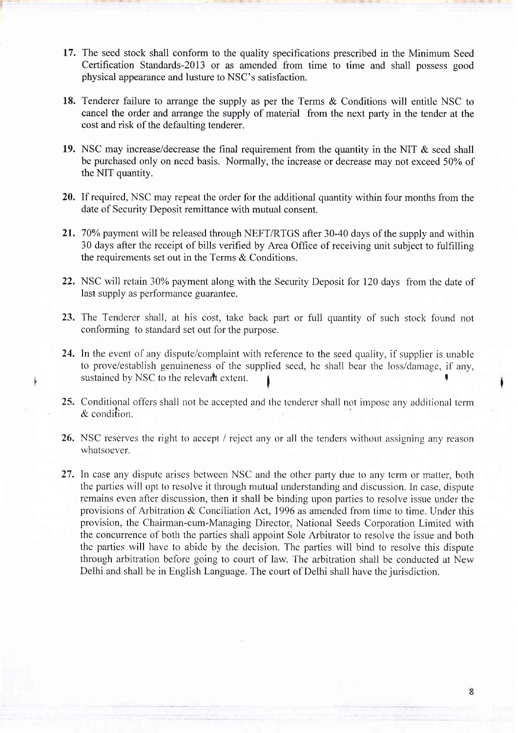- 17. The seed stock shall conform to the quality specifications prescribed in the Minimum Seed Certification Standards-20l3 or as amended from time to time and shall possess good physical appearance and lusture to NSC's satisfaction.
- 18. Tenderer failure to arrange the supply as per the Terms & Conditions will entitle NSC to cancel the order and arrange the supply of material from the next party in the tender at the cost and risk of the defaulting tenderer.
- 19. NSC may increase/decrease the final requirement from the quantity in the NIT & seed shall be purchased only on need basis. Normally, the increase or decrease may not exceed 50% of the NIT quantity.
- 20. If required, NSC may repeat the order for the additional quantity within four months from the date of Security Deposit remittance with mutual consent.
- 21. 70% payment will be released through NEFT/RTGS after 30-40 days of the supply and within 30 days after the receipt of bills verihed by Area Office of receiving unit subject to fulfilling the requirements set out in the Terms & Conditions.
- 22. NSC will retain 30% payment along with the Security Deposit for 120 days from the date of last supply as performance guarantee.
- 23. The Tenderer shall, at his cost, take back part or full quantity of such stock found not conforming to standard set out for the purpose.
- 24. In the event of any dispute/complaint with reference to the seed quality, if supplier is unable to prove/establjsh genuineness of the supplied seed, he shall bear the loss/damage, if any, sustained by NSC to the relevart extent.
- 25. Conditional offers shall not be accepted and the tenderer shall not impose any additional term & condition.
- 26. NSC reserves the right to accept / reject any or all the tenders without assigning any reason whatsoever.
- 27. In case any dispute arises between NSC and the other party due to any term or matter, both the parties will opt to resolve it through mutual understanding and discussion. In case, dispute remains even after discussion, then it shall be binding upon parties to resolve issue under the provisions of Arbitration & Conciliation Act, 1996 as amended from time to time. Under this provision, the Chairman-cum-Managing Director, National Seeds Corporation Limited with the concurrence of both the parties shall appoint Sole Arbitrator to resolve the issue and both the parties will have to abide by the decision. The parties will bind to resolve this dispute through arbitration before going to court of law. The arbitration shall be conducted at New Delhi and shall be in English Language. The court of Delhi shall have the jurisdiction.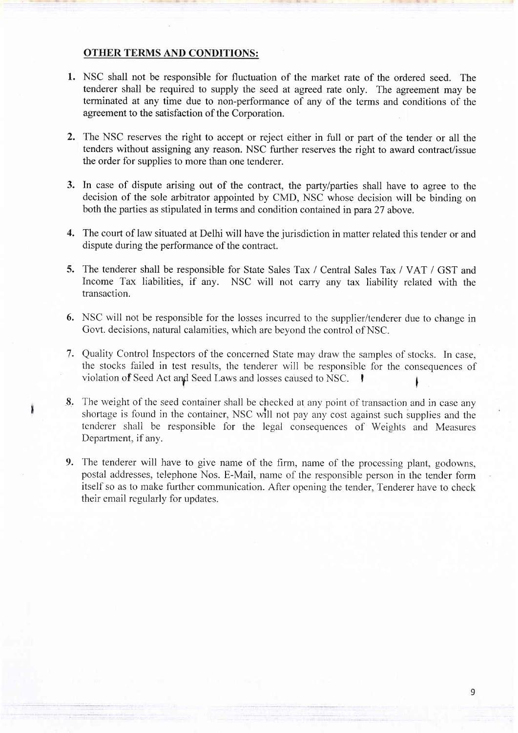#### OTHER TERMS AND CONDITIONS:

- 1. NSC shall not be responsible for fluctuation of the market rate of the ordered seed. The tenderer shall be required to supply the seed at agreed rate only. The agreement may be terminated at any time due to non-performance of any of the terms and conditions of the agreement to the satisfaction of the Corporation.
- 2. The NSC reserves the right to accept or reject either in full or part of the tender or all the tenders without assigning any reason. NSC further reserves the right to award contract/issue the order for supplies to more than one tenderer.
- 3. In case of dispute arising out of the contract, the party/parties shall have to agree to the decision of the sole arbitrator appointed by CMD, NSC whose decision will be binding on both the parties as stipulated in terms and condition contained in para 27 above.
- The court of law situated at Delhi will have the jurisdiction in matter related this tender or and 4. dispute during the performance of the contract.
- 5. The tenderer shall be responsible for State Sales Tax / Central Sales Tax / VAT / GST and Income Tax liabilities, if any. NSC will not carry any tax liability related with the transaction.
- 6. NSC will not be responsible for the losses incurred to the supplier/tenderer due to change in Govt. decisions, natural calamities, which are beyond the control of NSC.
- Quality Control Inspectors of the concerned State may draw the samples of stocks. In case, 7. the stocks failed in test results, the tenderer will be responsible for the consequences of violation of Seed Act and Seed Laws and losses caused to NSC.
- The weight of the seed container shall be checked at any point of transaction and in case any 8. shortage is found in the container, NSC will not pay any cost against such supplies and the tenderer shall be responsible for the legal consequences of Weiglits and Measures Department, if any.
- 9. The tenderer will have to give name of the firm, name of the processing plant, godowns, postal addresses, telephone Nos. E-Mail, name of the responsible person in the tender form itself so as to make further communication. After opening the tender, Tenderer have to check their email regularly for updates.

1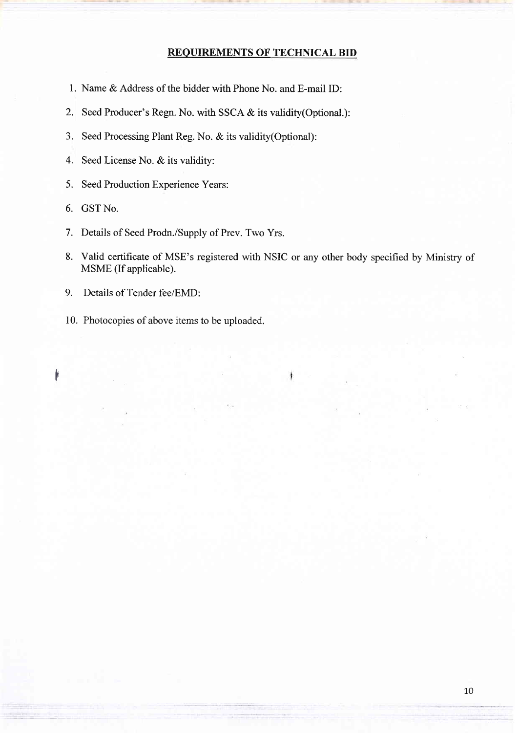## REOUIREMENTS OF TECHNICAL BID

- 1. Name & Address of the bidder with Phone No. and E-mail ID:
- 2. Seed Producer's Regn. No. with SSCA & its validity(Optional.):
- 3. Seed Processing Plant Reg. No. & its validity(Optional):
- 4. Seed License No. & its validity:
- 5. Seed Production Experience Years:
- 6. GSTNo.

f'

- <sup>7</sup>. Details of Seed Prodn./Supply of Prev. Two Yrs.
- 8. Valid certificate of MSE's registered with NSIC or any other body specified by Ministry of MSME (If applicable).
- 9. Details of Tender fee/EMD:
- 10. Photocopies of above items to be uploaded.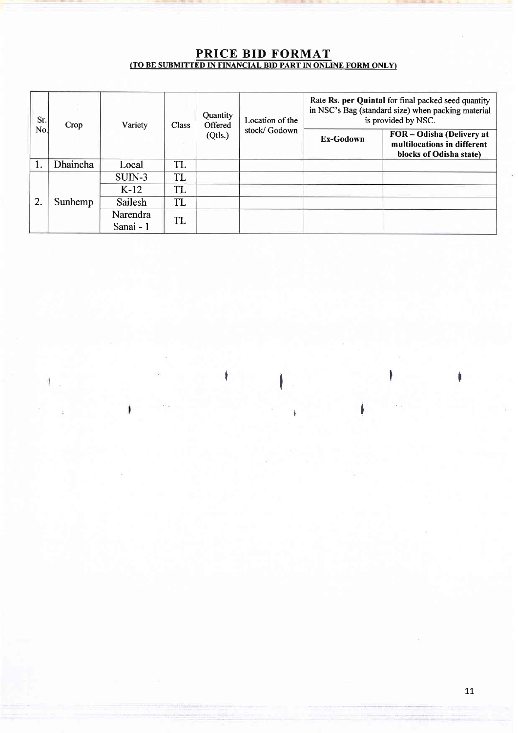# PRICE BID FORMAT (TO BE SUBMITTED IN FINANCIAL BID PART IN ONLINE FORM ONLY)

| Sr.<br>No. | Crop     | Variety               | Class | Quantity<br>Offered<br>(Qtls.) | Location of the<br>stock/Godown | Rate Rs. per Quintal for final packed seed quantity<br>in NSC's Bag (standard size) when packing material<br>is provided by NSC. |                                                                                     |
|------------|----------|-----------------------|-------|--------------------------------|---------------------------------|----------------------------------------------------------------------------------------------------------------------------------|-------------------------------------------------------------------------------------|
|            |          |                       |       |                                |                                 | Ex-Godown                                                                                                                        | FOR - Odisha (Delivery at<br>multilocations in different<br>blocks of Odisha state) |
|            | Dhaincha | Local                 | TL    |                                |                                 |                                                                                                                                  |                                                                                     |
| 2.         | Sunhemp  | $SUIN-3$              | TL    |                                |                                 |                                                                                                                                  |                                                                                     |
|            |          | $K-12$                | TL    |                                |                                 |                                                                                                                                  |                                                                                     |
|            |          | Sailesh               | TL    |                                |                                 |                                                                                                                                  |                                                                                     |
|            |          | Narendra<br>Sanai - 1 | TL    |                                |                                 |                                                                                                                                  |                                                                                     |

I

i<br>I

**Irland The Communication** 

1.1.